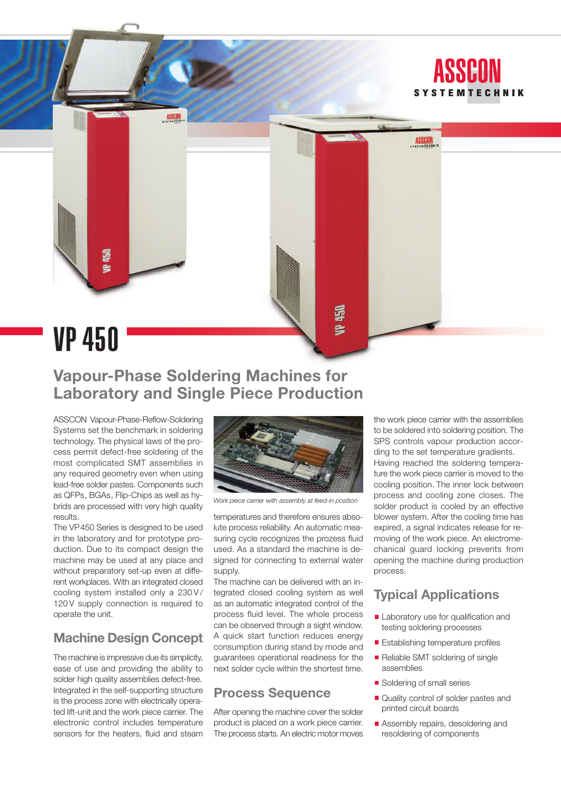

# **Vapour-Phase Soldering Machines for Laboratory and Single Piece Production**

ASSCON Vapour-Phase-Reflow-Soldering Systems set the benchmark in soldering technology. The physical laws of the process permit defect-free soldering of the most complicated SMT assemblies in any required geometry even when using lead-free solder pastes. Components such as QFPs, BGAs, Flip-Chips as well as hybrids are processed with very high quality results.

The VP450 Series is designed to be used in the laboratory and for prototype production. Due to its compact design the machine may be used at any place and without preparatory set-up even at different workplaces. With an integrated closed cooling system installed only a 230 V/ 120 V supply connection is required to operate the unit.

## **Machine Design Concept**

The machine is impressive due its simplicity, ease of use and providing the ability to solder high quality assemblies defect-free. Integrated in the self-supporting structure is the process zone with electrically operated lift-unit and the work piece carrier. The electronic control includes temperature sensors for the heaters, fluid and steam



*Work piece carrier with assembly at feed-in position*

temperatures and therefore ensures absolute process reliability. An automatic measuring cycle recognizes the prozess fluid used. As a standard the machine is designed for connecting to external water supply.

The machine can be delivered with an integrated closed cooling system as well as an automatic integrated control of the process fluid level. The whole process can be observed through a sight window. A quick start function reduces energy consumption during stand by mode and guarantees operational readiness for the next solder cycle within the shortest time.

### **Process Sequence**

After opening the machine cover the solder product is placed on a work piece carrier. The process starts. An electric motor moves

the work piece carrier with the assemblies to be soldered into soldering position. The SPS controls vapour production according to the set temperature gradients. Having reached the soldering temperature the work piece carrier is moved to the cooling position. The inner lock between process and cooling zone closes. The solder product is cooled by an effective blower system. After the cooling time has expired, a signal indicates release for removing of the work piece. An electromechanical guard locking prevents from opening the machine during production process.

## **Typical Applications**

- Laboratory use for qualification and testing soldering processes
- **Establishing temperature profiles**
- Reliable SMT soldering of single assemblies
- Soldering of small series
- Quality control of solder pastes and printed circuit boards
- **Assembly repairs, desoldering and** resoldering of components